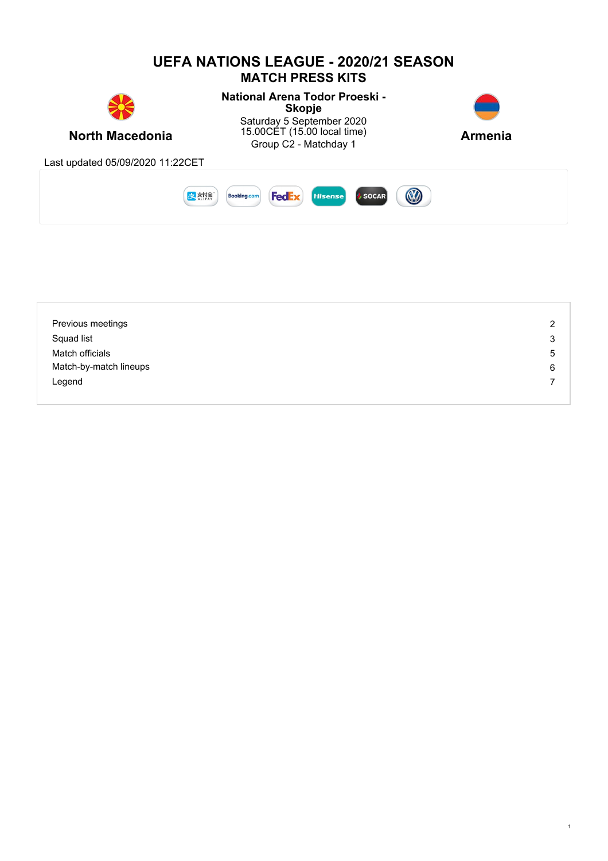

| Previous meetings      | っ |
|------------------------|---|
| Squad list             | 3 |
| Match officials        | 5 |
| Match-by-match lineups | 6 |
| Legend                 |   |
|                        |   |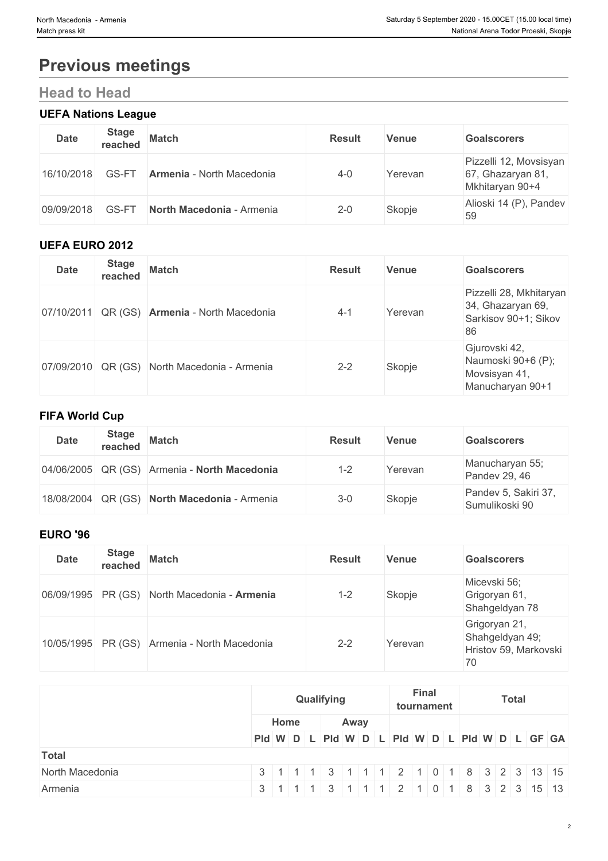# **Previous meetings**

## **Head to Head**

### **UEFA Nations League**

| <b>Date</b> | <b>Stage</b><br>reached | <b>Match</b>                     | <b>Result</b> | Venue   | <b>Goalscorers</b>                                             |
|-------------|-------------------------|----------------------------------|---------------|---------|----------------------------------------------------------------|
| 16/10/2018  | GS-FT                   | <b>Armenia - North Macedonia</b> | $4 - 0$       | Yerevan | Pizzelli 12, Movsisyan<br>67, Ghazaryan 81,<br>Mkhitaryan 90+4 |
| 09/09/2018  | GS-FT                   | North Macedonia - Armenia        | $2 - 0$       | Skopje  | Alioski 14 (P), Pandev<br>59                                   |

#### **UEFA EURO 2012**

| <b>Date</b> | <b>Stage</b><br>reached | <b>Match</b>                             | <b>Result</b> | <b>Venue</b> | <b>Goalscorers</b>                                                         |
|-------------|-------------------------|------------------------------------------|---------------|--------------|----------------------------------------------------------------------------|
| 07/10/2011  |                         | QR (GS) <b>Armenia</b> - North Macedonia | $4 - 1$       | Yerevan      | Pizzelli 28, Mkhitaryan<br>34, Ghazaryan 69,<br>Sarkisov 90+1; Sikov<br>86 |
| 07/09/2010  |                         | QR (GS) North Macedonia - Armenia        | $2 - 2$       | Skopje       | Gjurovski 42,<br>Naumoski 90+6 (P);<br>Movsisyan 41,<br>Manucharyan 90+1   |

#### **FIFA World Cup**

| <b>Date</b> | <b>Stage</b> | reached Match                                | <b>Result</b> | <b>Venue</b> | <b>Goalscorers</b>                     |
|-------------|--------------|----------------------------------------------|---------------|--------------|----------------------------------------|
|             |              | 04/06/2005 QR (GS) Armenia - North Macedonia | $1 - 2$       | Yerevan      | Manucharyan 55;<br>Pandev 29, 46       |
|             |              | 18/08/2004 QR (GS) North Macedonia - Armenia | $3 - 0$       | Skopje       | Pandev 5, Sakiri 37,<br>Sumulikoski 90 |

#### **EURO '96**

| <b>Date</b> | <b>Stage</b><br>reached | <b>Match</b>                                 | <b>Result</b> | <b>Venue</b> | <b>Goalscorers</b>                                              |
|-------------|-------------------------|----------------------------------------------|---------------|--------------|-----------------------------------------------------------------|
|             |                         | 06/09/1995 PR (GS) North Macedonia - Armenia | $1 - 2$       | Skopje       | Micevski 56;<br>Grigoryan 61,<br>Shahgeldyan 78                 |
|             |                         | 10/05/1995 PR (GS) Armenia - North Macedonia | $2 - 2$       | Yerevan      | Grigoryan 21,<br>Shahgeldyan 49;<br>Hristov 59, Markovski<br>70 |

|                 |                                               | Qualifying |                                 |  | Final | tournament |  | <b>Total</b> |  |  |
|-----------------|-----------------------------------------------|------------|---------------------------------|--|-------|------------|--|--------------|--|--|
|                 | Home                                          |            | Away                            |  |       |            |  |              |  |  |
|                 | PId W D L PId W D L PId W D L PId W D L GF GA |            |                                 |  |       |            |  |              |  |  |
| <b>Total</b>    |                                               |            |                                 |  |       |            |  |              |  |  |
| North Macedonia | 3 1 1 1 3 1 1 1 2 1 0 1 8 3 2 3 13 15         |            |                                 |  |       |            |  |              |  |  |
| Armenia         |                                               |            | 1 1 3 1 1 2 1 0 1 8 3 2 3 15 13 |  |       |            |  |              |  |  |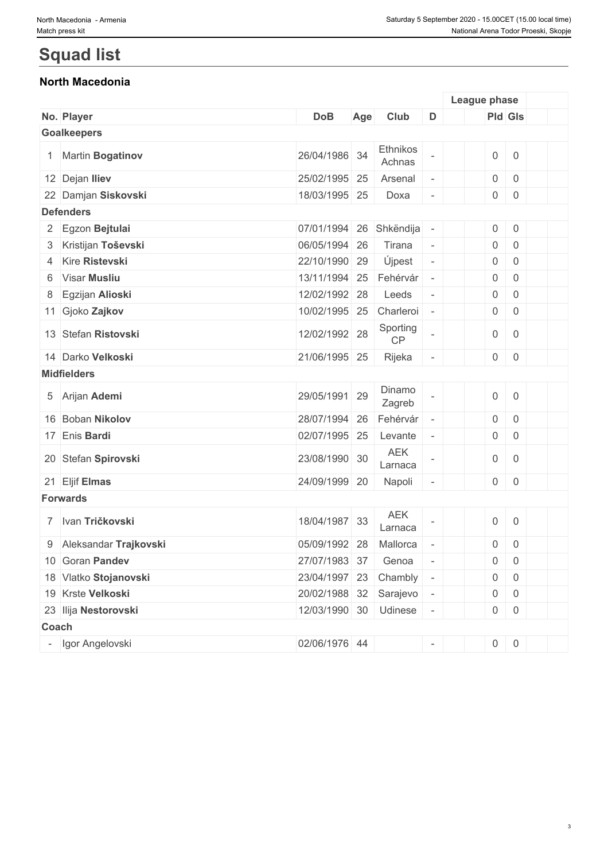## **Squad list**

### **North Macedonia**

|       |                         |                       |     |                       |                          | League phase        |                     |  |
|-------|-------------------------|-----------------------|-----|-----------------------|--------------------------|---------------------|---------------------|--|
|       | No. Player              | <b>DoB</b>            | Age | Club                  | D                        | Pld Gls             |                     |  |
|       | <b>Goalkeepers</b>      |                       |     |                       |                          |                     |                     |  |
|       | 1 Martin Bogatinov      | 26/04/1986 34         |     | Ethnikos<br>Achnas    |                          | $\mathsf{O}\xspace$ | $\mathsf 0$         |  |
|       | 12 Dejan Iliev          | 25/02/1995 25         |     | Arsenal               | $\overline{\phantom{a}}$ | $\boldsymbol{0}$    | $\boldsymbol{0}$    |  |
|       | 22 Damjan Siskovski     | 18/03/1995 25         |     | Doxa                  | $\overline{\phantom{a}}$ | $\overline{0}$      | $\mathsf{O}\xspace$ |  |
|       | <b>Defenders</b>        |                       |     |                       |                          |                     |                     |  |
|       | 2 Egzon Bejtulai        | 07/01/1994            | 26  | Shkëndija             |                          | $\overline{0}$      | $\mathsf{O}\xspace$ |  |
|       | 3 Kristijan Toševski    | 06/05/1994 26         |     | Tirana                | $\overline{\phantom{a}}$ | $\overline{0}$      | $\mathsf 0$         |  |
|       | 4 Kire Ristevski        | 22/10/1990 29         |     | Újpest                | $\Box$                   | 0                   | $\mathbf 0$         |  |
|       | 6 Visar Musliu          | 13/11/1994            | 25  | Fehérvár              |                          | $\mathsf{O}\xspace$ | $\boldsymbol{0}$    |  |
| 8     | Egzijan Alioski         | 12/02/1992 28         |     | Leeds                 | $\overline{\phantom{a}}$ | $\boldsymbol{0}$    | $\boldsymbol{0}$    |  |
|       | 11 Gjoko Zajkov         | 10/02/1995 25         |     | Charleroi             | $\overline{\phantom{a}}$ | $\mathsf{O}$        | $\mathbf 0$         |  |
|       | 13 Stefan Ristovski     | 12/02/1992 28         |     | Sporting<br>CP        |                          | $\boldsymbol{0}$    | $\mathbf 0$         |  |
|       | 14 Darko Velkoski       | 21/06/1995 25         |     | Rijeka                | $\overline{\phantom{a}}$ | $\overline{0}$      | $\boldsymbol{0}$    |  |
|       | <b>Midfielders</b>      |                       |     |                       |                          |                     |                     |  |
|       | 5 Arijan Ademi          | 29/05/1991 29         |     | Dinamo<br>Zagreb      |                          | $\mathsf{O}\xspace$ | $\overline{0}$      |  |
|       | 16 Boban Nikolov        | 28/07/1994            | 26  | Fehérvár              |                          | $\mathsf{O}\xspace$ | $\boldsymbol{0}$    |  |
|       | 17 Enis Bardi           | 02/07/1995 25         |     | Levante               | $\overline{\phantom{a}}$ | 0                   | $\mathbf 0$         |  |
|       | 20 Stefan Spirovski     | 23/08/1990 30         |     | <b>AEK</b><br>Larnaca |                          | $\overline{0}$      | $\mathbf 0$         |  |
|       | 21 Eljif Elmas          | 24/09/1999 20         |     | Napoli                | $\overline{\phantom{a}}$ | $\overline{0}$      | $\overline{0}$      |  |
|       | <b>Forwards</b>         |                       |     |                       |                          |                     |                     |  |
|       | 7 Ivan Tričkovski       | 18/04/1987            | 33  | <b>AEK</b><br>Larnaca |                          | $\mathsf{O}\xspace$ | $\boldsymbol{0}$    |  |
|       | 9 Aleksandar Trajkovski | 05/09/1992 28         |     | Mallorca              | $\overline{\phantom{a}}$ | 0                   | $\overline{0}$      |  |
|       | 10 Goran Pandev         | 27/07/1983 37         |     | Genoa                 |                          | $\boldsymbol{0}$    | $\mathbf 0$         |  |
|       | 18 Vlatko Stojanovski   | 23/04/1997 23         |     | Chambly               |                          | $\boldsymbol{0}$    | $\mathbf 0$         |  |
|       | 19 Krste Velkoski       | 20/02/1988 32         |     | Sarajevo              | $\overline{\phantom{a}}$ | $\mathsf{O}\xspace$ | $\mathsf 0$         |  |
|       | 23 Ilija Nestorovski    | 12/03/1990 30 Udinese |     |                       | $\overline{\phantom{a}}$ | $\overline{0}$      | $\mathsf 0$         |  |
| Coach |                         |                       |     |                       |                          |                     |                     |  |
|       | Igor Angelovski         | 02/06/1976 44         |     |                       | $\overline{\phantom{a}}$ | $0 \quad 0$         |                     |  |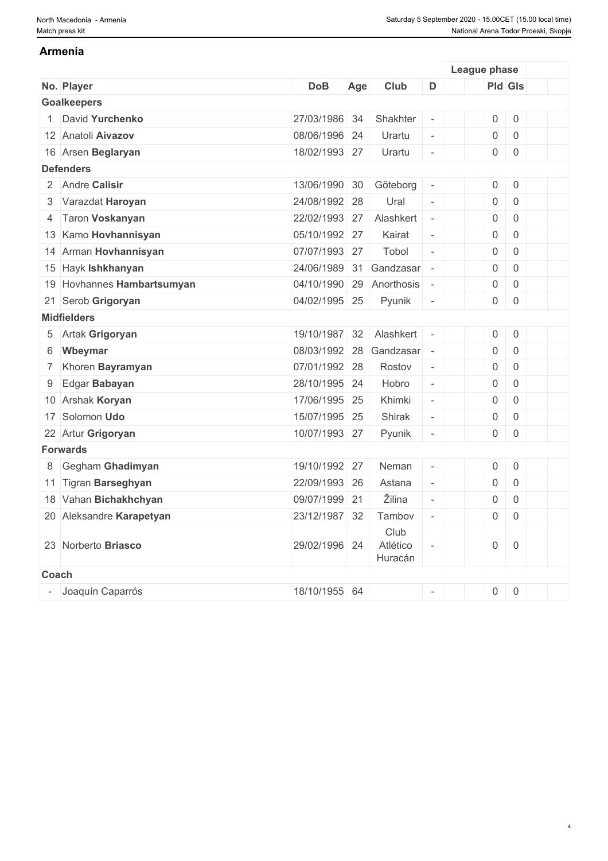#### **Armenia**

|       |                            |               |     |                             |                          | League phase        |                |  |
|-------|----------------------------|---------------|-----|-----------------------------|--------------------------|---------------------|----------------|--|
|       | No. Player                 | <b>DoB</b>    | Age | Club                        | D                        | <b>Pld Gls</b>      |                |  |
|       | <b>Goalkeepers</b>         |               |     |                             |                          |                     |                |  |
|       | David Yurchenko            | 27/03/1986 34 |     | Shakhter                    | $\overline{\phantom{a}}$ | $\mathbf 0$         | $\mathbf 0$    |  |
|       | 12 Anatoli Aivazov         | 08/06/1996 24 |     | Urartu                      | $\overline{\phantom{a}}$ | $\mathbf 0$         | $\,0\,$        |  |
|       | 16 Arsen Beglaryan         | 18/02/1993 27 |     | Urartu                      | $\bar{a}$                | $\mathsf{O}\xspace$ | $\,0\,$        |  |
|       | <b>Defenders</b>           |               |     |                             |                          |                     |                |  |
|       | 2 Andre Calisir            | 13/06/1990 30 |     | Göteborg                    | $\overline{\phantom{a}}$ | $\mathsf{O}\xspace$ | $\overline{0}$ |  |
|       | 3 Varazdat Haroyan         | 24/08/1992 28 |     | Ural                        | $\sim$                   | $\mathsf{O}\xspace$ | $\overline{0}$ |  |
|       | 4 Taron Voskanyan          | 22/02/1993 27 |     | Alashkert                   | $\sim$                   | $\mathsf{O}\xspace$ | $\overline{0}$ |  |
|       | 13 Kamo Hovhannisyan       | 05/10/1992 27 |     | Kairat                      | $\overline{\phantom{a}}$ | $\mathsf 0$         | $\overline{0}$ |  |
|       | 14 Arman Hovhannisyan      | 07/07/1993 27 |     | Tobol                       | $\equiv$                 | $\mathsf{O}\xspace$ | $\overline{0}$ |  |
|       | 15 Hayk Ishkhanyan         | 24/06/1989 31 |     | Gandzasar                   |                          | $\mathsf{O}\xspace$ | $\mathbf 0$    |  |
|       | 19 Hovhannes Hambartsumyan | 04/10/1990 29 |     | Anorthosis                  |                          | $\mathbf 0$         | $\mathbf 0$    |  |
|       | 21 Serob Grigoryan         | 04/02/1995 25 |     | Pyunik                      | $\overline{\phantom{a}}$ | 0                   | $\overline{0}$ |  |
|       | <b>Midfielders</b>         |               |     |                             |                          |                     |                |  |
|       | 5 Artak Grigoryan          | 19/10/1987 32 |     | Alashkert                   | $\overline{\phantom{a}}$ | $\mathbf 0$         | $\mathbf 0$    |  |
| 6     | Wbeymar                    | 08/03/1992 28 |     | Gandzasar                   |                          | $\mathsf{O}\xspace$ | $\mathbf 0$    |  |
|       | 7 Khoren Bayramyan         | 07/01/1992 28 |     | Rostov                      | $\overline{\phantom{a}}$ | $\mathsf{O}\xspace$ | $\mathbf 0$    |  |
| 9     | Edgar Babayan              | 28/10/1995 24 |     | Hobro                       | $\overline{\phantom{a}}$ | $\mathsf{O}\xspace$ | $\mathbf 0$    |  |
|       | 10 Arshak Koryan           | 17/06/1995 25 |     | Khimki                      | $\overline{\phantom{a}}$ | $\mathsf 0$         | $\mathbf 0$    |  |
|       | 17 Solomon Udo             | 15/07/1995 25 |     | Shirak                      | $\omega$                 | $\mathsf{O}\xspace$ | $\mathbf 0$    |  |
|       | 22 Artur Grigoryan         | 10/07/1993 27 |     | Pyunik                      |                          | $\mathsf{O}\xspace$ | $\mathbf 0$    |  |
|       | <b>Forwards</b>            |               |     |                             |                          |                     |                |  |
|       | 8 Gegham Ghadimyan         | 19/10/1992 27 |     | Neman                       | $\bar{a}$                | $\boldsymbol{0}$    | $\mathbf 0$    |  |
|       | 11 Tigran Barseghyan       | 22/09/1993 26 |     | Astana                      | $\omega$                 | $\boldsymbol{0}$    | $\overline{0}$ |  |
|       | 18 Vahan Bichakhchyan      | 09/07/1999 21 |     | Žilina                      | $\omega$                 | $\mathsf 0$         | $\mathbf 0$    |  |
|       | 20 Aleksandre Karapetyan   | 23/12/1987 32 |     | Tambov                      | $\sim$                   | $\mathbf 0$         | $\overline{0}$ |  |
|       | 23 Norberto Briasco        | 29/02/1996 24 |     | Club<br>Atlético<br>Huracán |                          | $\mathsf{O}\xspace$ | $\overline{0}$ |  |
| Coach |                            |               |     |                             |                          |                     |                |  |
|       | Joaquín Caparrós           | 18/10/1955 64 |     |                             |                          | $\boldsymbol{0}$    | $\mathbf 0$    |  |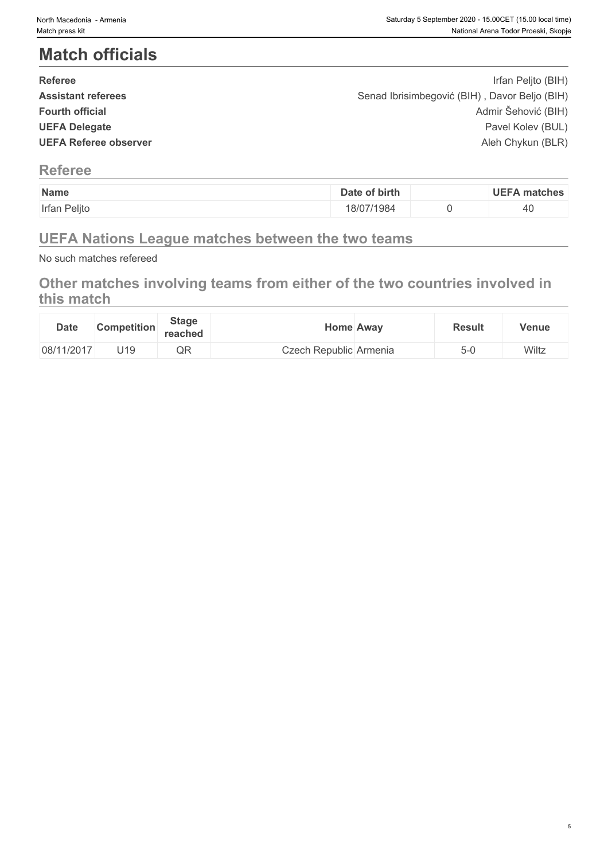## **Match officials**

| <b>Referee</b>               | Irfan Peljto (BIH)                            |  |
|------------------------------|-----------------------------------------------|--|
| <b>Assistant referees</b>    | Senad Ibrisimbegović (BIH), Davor Beljo (BIH) |  |
| <b>Fourth official</b>       | Admir Šehović (BIH)                           |  |
| <b>UEFA Delegate</b>         | Pavel Kolev (BUL)                             |  |
| <b>UEFA Referee observer</b> | Aleh Chykun (BLR)                             |  |
|                              |                                               |  |

#### **Referee**

| Name         | of birth<br>Date | <b>UEFA</b><br>∖ matches |
|--------------|------------------|--------------------------|
| Irfan Peljto | 18/07/1984       | <i></i><br>40            |

### **UEFA Nations League matches between the two teams**

No such matches refereed

### **Other matches involving teams from either of the two countries involved in this match**

| <b>Date</b> | <b>Competition</b> | <b>Stage</b><br>reached | Home Awav              | <b>Result</b> | Venue |
|-------------|--------------------|-------------------------|------------------------|---------------|-------|
| 08/11/2017  | J19                | $\sim$ $\sim$<br>$\sim$ | Czech Republic Armenia | 5-l           | Wiltz |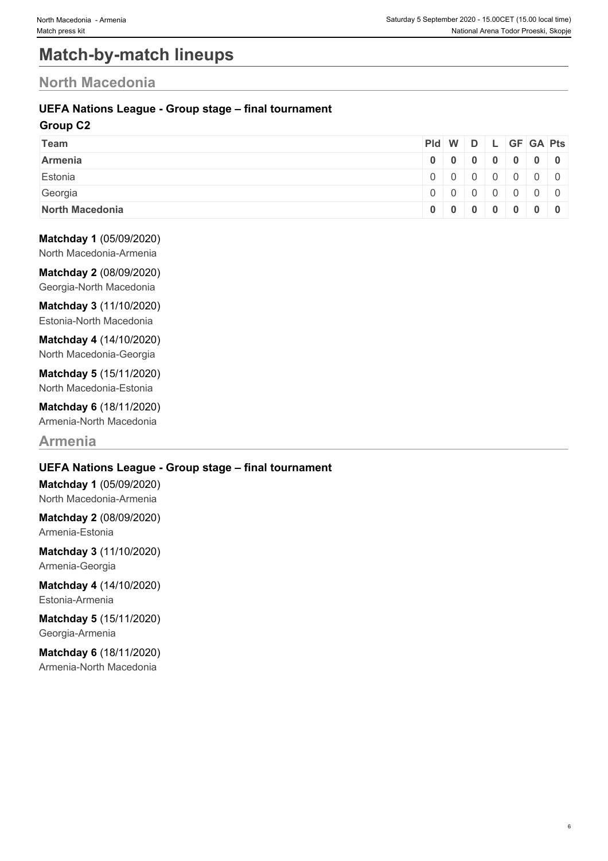## **Match-by-match lineups**

### **North Macedonia**

#### **UEFA Nations League - Group stage – final tournament**

#### **Group C2**

| <b>Team</b>     | Pid W D L GF GA Pts |                 |  |  |  |
|-----------------|---------------------|-----------------|--|--|--|
| Armenia         |                     | 0 0 0 0 0 0 0 0 |  |  |  |
| Estonia         |                     | 0 0 0 0 0 0 0   |  |  |  |
| Georgia         |                     | 0 0 0 0 0 0 0   |  |  |  |
| North Macedonia |                     | 0 0 0 0 0 0 0 0 |  |  |  |

#### **Matchday 1** (05/09/2020)

North Macedonia-Armenia

**Matchday 2** (08/09/2020) Georgia-North Macedonia

**Matchday 3** (11/10/2020) Estonia-North Macedonia

**Matchday 4** (14/10/2020) North Macedonia-Georgia

**Matchday 5** (15/11/2020) North Macedonia-Estonia

**Matchday 6** (18/11/2020) Armenia-North Macedonia

### **Armenia**

#### **UEFA Nations League - Group stage – final tournament**

**Matchday 1** (05/09/2020) North Macedonia-Armenia

**Matchday 2** (08/09/2020) Armenia-Estonia

**Matchday 3** (11/10/2020) Armenia-Georgia

**Matchday 4** (14/10/2020) Estonia-Armenia

**Matchday 5** (15/11/2020) Georgia-Armenia

**Matchday 6** (18/11/2020) Armenia-North Macedonia